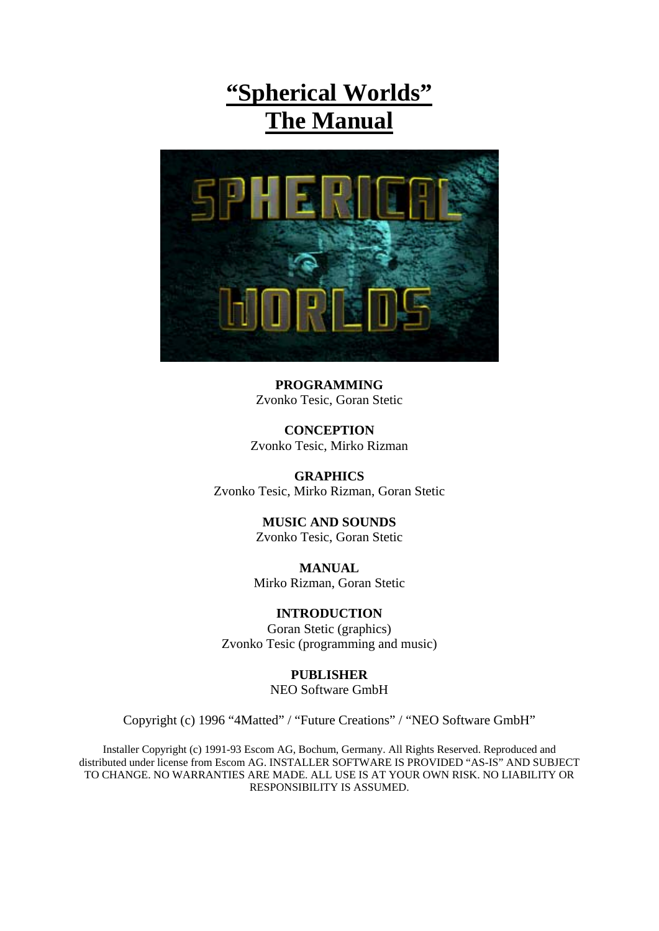# **"Spherical Worlds" The Manual**



**PROGRAMMING**  Zvonko Tesic, Goran Stetic

**CONCEPTION**  Zvonko Tesic, Mirko Rizman

**GRAPHICS**  Zvonko Tesic, Mirko Rizman, Goran Stetic

> **MUSIC AND SOUNDS**  Zvonko Tesic, Goran Stetic

**MANUAL**  Mirko Rizman, Goran Stetic

**INTRODUCTION**  Goran Stetic (graphics) Zvonko Tesic (programming and music)

> **PUBLISHER**  NEO Software GmbH

Copyright (c) 1996 "4Matted" / "Future Creations" / "NEO Software GmbH"

Installer Copyright (c) 1991-93 Escom AG, Bochum, Germany. All Rights Reserved. Reproduced and distributed under license from Escom AG. INSTALLER SOFTWARE IS PROVIDED "AS-IS" AND SUBJECT TO CHANGE. NO WARRANTIES ARE MADE. ALL USE IS AT YOUR OWN RISK. NO LIABILITY OR RESPONSIBILITY IS ASSUMED.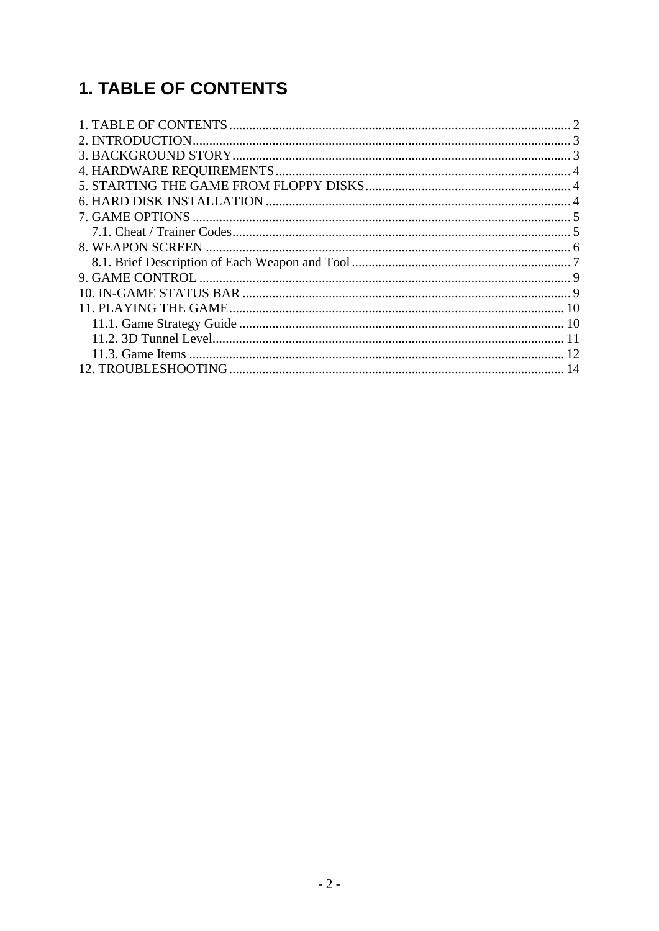# **1. TABLE OF CONTENTS**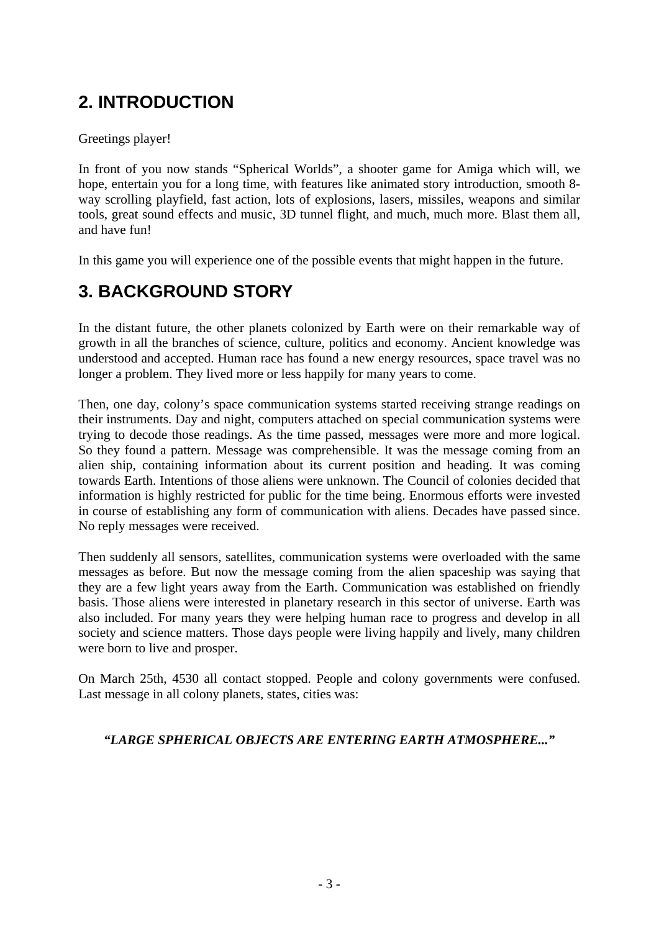# **2. INTRODUCTION**

### Greetings player!

In front of you now stands "Spherical Worlds", a shooter game for Amiga which will, we hope, entertain you for a long time, with features like animated story introduction, smooth 8 way scrolling playfield, fast action, lots of explosions, lasers, missiles, weapons and similar tools, great sound effects and music, 3D tunnel flight, and much, much more. Blast them all, and have fun!

In this game you will experience one of the possible events that might happen in the future.

## **3. BACKGROUND STORY**

In the distant future, the other planets colonized by Earth were on their remarkable way of growth in all the branches of science, culture, politics and economy. Ancient knowledge was understood and accepted. Human race has found a new energy resources, space travel was no longer a problem. They lived more or less happily for many years to come.

Then, one day, colony's space communication systems started receiving strange readings on their instruments. Day and night, computers attached on special communication systems were trying to decode those readings. As the time passed, messages were more and more logical. So they found a pattern. Message was comprehensible. It was the message coming from an alien ship, containing information about its current position and heading. It was coming towards Earth. Intentions of those aliens were unknown. The Council of colonies decided that information is highly restricted for public for the time being. Enormous efforts were invested in course of establishing any form of communication with aliens. Decades have passed since. No reply messages were received.

Then suddenly all sensors, satellites, communication systems were overloaded with the same messages as before. But now the message coming from the alien spaceship was saying that they are a few light years away from the Earth. Communication was established on friendly basis. Those aliens were interested in planetary research in this sector of universe. Earth was also included. For many years they were helping human race to progress and develop in all society and science matters. Those days people were living happily and lively, many children were born to live and prosper.

On March 25th, 4530 all contact stopped. People and colony governments were confused. Last message in all colony planets, states, cities was:

### *"LARGE SPHERICAL OBJECTS ARE ENTERING EARTH ATMOSPHERE..."*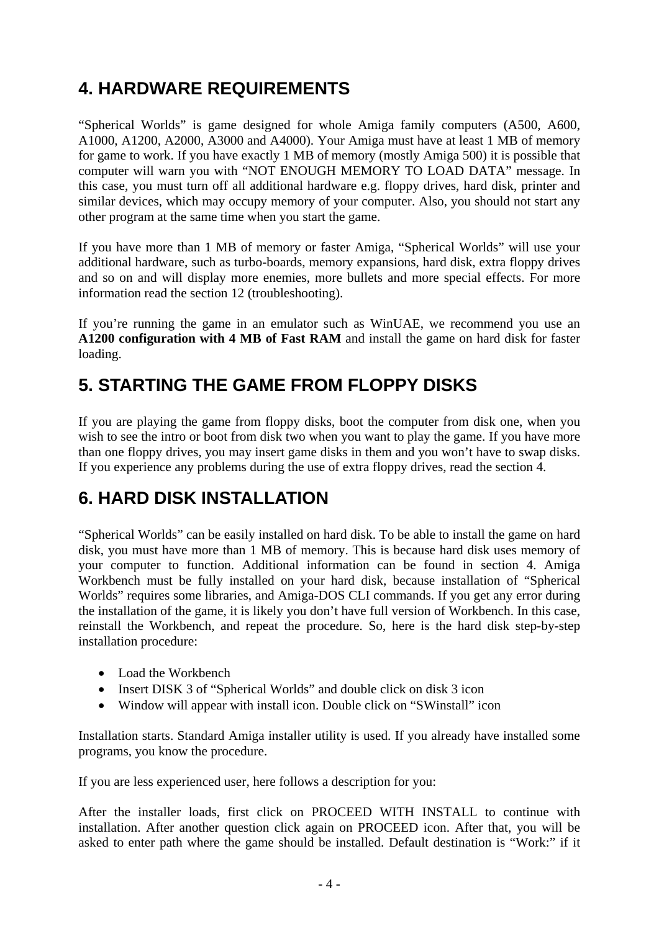## **4. HARDWARE REQUIREMENTS**

"Spherical Worlds" is game designed for whole Amiga family computers (A500, A600, A1000, A1200, A2000, A3000 and A4000). Your Amiga must have at least 1 MB of memory for game to work. If you have exactly 1 MB of memory (mostly Amiga 500) it is possible that computer will warn you with "NOT ENOUGH MEMORY TO LOAD DATA" message. In this case, you must turn off all additional hardware e.g. floppy drives, hard disk, printer and similar devices, which may occupy memory of your computer. Also, you should not start any other program at the same time when you start the game.

If you have more than 1 MB of memory or faster Amiga, "Spherical Worlds" will use your additional hardware, such as turbo-boards, memory expansions, hard disk, extra floppy drives and so on and will display more enemies, more bullets and more special effects. For more information read the section 12 (troubleshooting).

If you're running the game in an emulator such as WinUAE, we recommend you use an **A1200 configuration with 4 MB of Fast RAM** and install the game on hard disk for faster loading.

## **5. STARTING THE GAME FROM FLOPPY DISKS**

If you are playing the game from floppy disks, boot the computer from disk one, when you wish to see the intro or boot from disk two when you want to play the game. If you have more than one floppy drives, you may insert game disks in them and you won't have to swap disks. If you experience any problems during the use of extra floppy drives, read the section 4.

# **6. HARD DISK INSTALLATION**

"Spherical Worlds" can be easily installed on hard disk. To be able to install the game on hard disk, you must have more than 1 MB of memory. This is because hard disk uses memory of your computer to function. Additional information can be found in section 4. Amiga Workbench must be fully installed on your hard disk, because installation of "Spherical Worlds" requires some libraries, and Amiga-DOS CLI commands. If you get any error during the installation of the game, it is likely you don't have full version of Workbench. In this case, reinstall the Workbench, and repeat the procedure. So, here is the hard disk step-by-step installation procedure:

- Load the Workbench
- Insert DISK 3 of "Spherical Worlds" and double click on disk 3 icon
- Window will appear with install icon. Double click on "SWinstall" icon

Installation starts. Standard Amiga installer utility is used. If you already have installed some programs, you know the procedure.

If you are less experienced user, here follows a description for you:

After the installer loads, first click on PROCEED WITH INSTALL to continue with installation. After another question click again on PROCEED icon. After that, you will be asked to enter path where the game should be installed. Default destination is "Work:" if it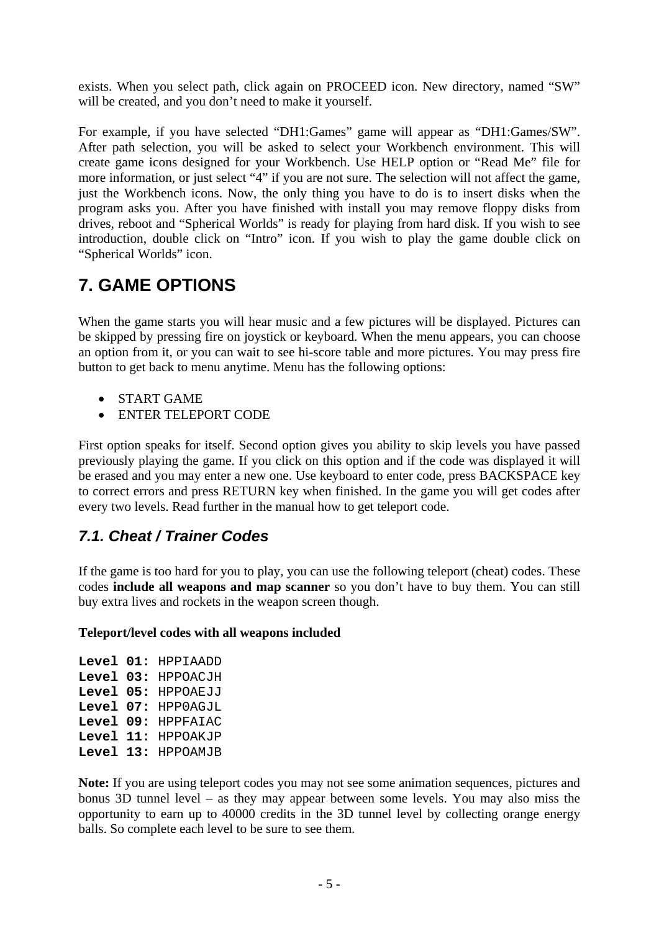exists. When you select path, click again on PROCEED icon. New directory, named "SW" will be created, and you don't need to make it yourself.

For example, if you have selected "DH1:Games" game will appear as "DH1:Games/SW". After path selection, you will be asked to select your Workbench environment. This will create game icons designed for your Workbench. Use HELP option or "Read Me" file for more information, or just select "4" if you are not sure. The selection will not affect the game, just the Workbench icons. Now, the only thing you have to do is to insert disks when the program asks you. After you have finished with install you may remove floppy disks from drives, reboot and "Spherical Worlds" is ready for playing from hard disk. If you wish to see introduction, double click on "Intro" icon. If you wish to play the game double click on "Spherical Worlds" icon.

## **7. GAME OPTIONS**

When the game starts you will hear music and a few pictures will be displayed. Pictures can be skipped by pressing fire on joystick or keyboard. When the menu appears, you can choose an option from it, or you can wait to see hi-score table and more pictures. You may press fire button to get back to menu anytime. Menu has the following options:

- START GAME
- ENTER TELEPORT CODE

First option speaks for itself. Second option gives you ability to skip levels you have passed previously playing the game. If you click on this option and if the code was displayed it will be erased and you may enter a new one. Use keyboard to enter code, press BACKSPACE key to correct errors and press RETURN key when finished. In the game you will get codes after every two levels. Read further in the manual how to get teleport code.

## *7.1. Cheat / Trainer Codes*

If the game is too hard for you to play, you can use the following teleport (cheat) codes. These codes **include all weapons and map scanner** so you don't have to buy them. You can still buy extra lives and rockets in the weapon screen though.

### **Teleport/level codes with all weapons included**

**Level 01:** HPPIAADD **Level 03:** HPPOACJH **Level 05:** HPPOAEJJ **Level 07:** HPP0AGJL **Level 09:** HPPFAIAC **Level 11:** HPPOAKJP **Level 13:** HPPOAMJB

**Note:** If you are using teleport codes you may not see some animation sequences, pictures and bonus 3D tunnel level – as they may appear between some levels. You may also miss the opportunity to earn up to 40000 credits in the 3D tunnel level by collecting orange energy balls. So complete each level to be sure to see them.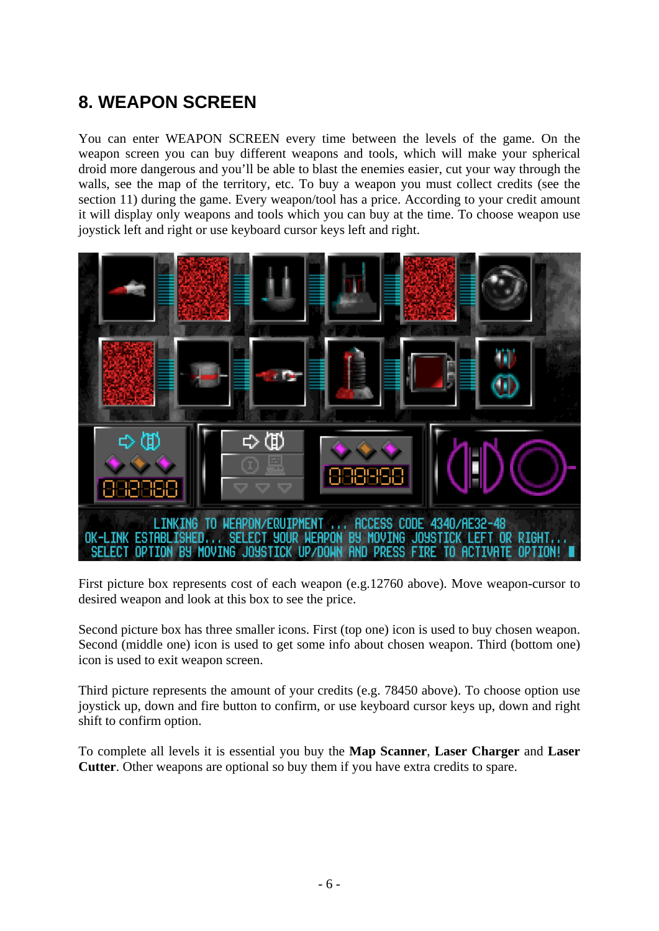# **8. WEAPON SCREEN**

You can enter WEAPON SCREEN every time between the levels of the game. On the weapon screen you can buy different weapons and tools, which will make your spherical droid more dangerous and you'll be able to blast the enemies easier, cut your way through the walls, see the map of the territory, etc. To buy a weapon you must collect credits (see the section 11) during the game. Every weapon/tool has a price. According to your credit amount it will display only weapons and tools which you can buy at the time. To choose weapon use joystick left and right or use keyboard cursor keys left and right.



First picture box represents cost of each weapon (e.g.12760 above). Move weapon-cursor to desired weapon and look at this box to see the price.

Second picture box has three smaller icons. First (top one) icon is used to buy chosen weapon. Second (middle one) icon is used to get some info about chosen weapon. Third (bottom one) icon is used to exit weapon screen.

Third picture represents the amount of your credits (e.g. 78450 above). To choose option use joystick up, down and fire button to confirm, or use keyboard cursor keys up, down and right shift to confirm option.

To complete all levels it is essential you buy the **Map Scanner**, **Laser Charger** and **Laser Cutter**. Other weapons are optional so buy them if you have extra credits to spare.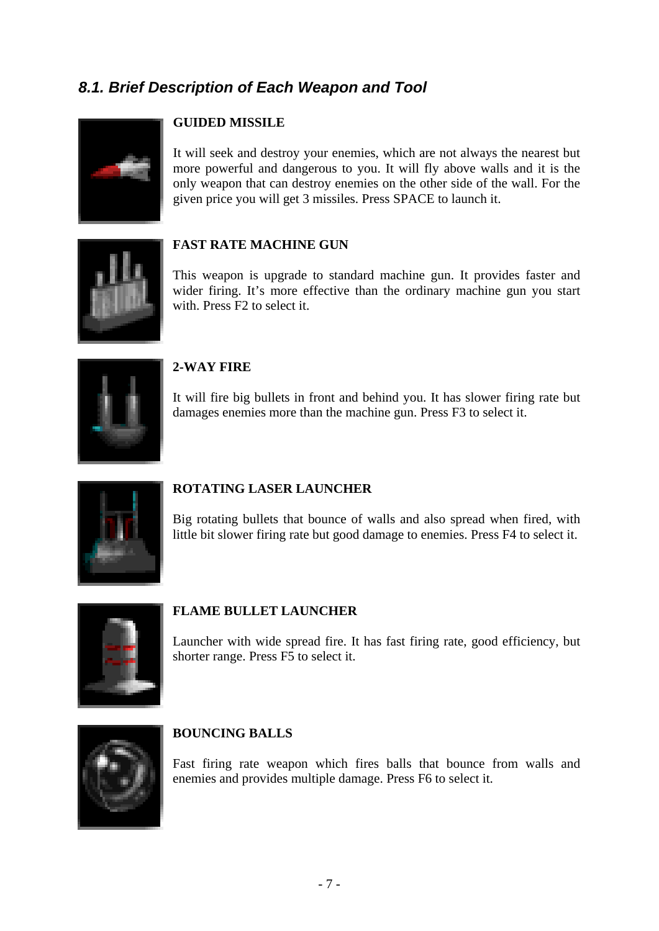## *8.1. Brief Description of Each Weapon and Tool*



### **GUIDED MISSILE**

It will seek and destroy your enemies, which are not always the nearest but more powerful and dangerous to you. It will fly above walls and it is the only weapon that can destroy enemies on the other side of the wall. For the given price you will get 3 missiles. Press SPACE to launch it.



### **FAST RATE MACHINE GUN**

This weapon is upgrade to standard machine gun. It provides faster and wider firing. It's more effective than the ordinary machine gun you start with. Press F2 to select it.



#### **2-WAY FIRE**

It will fire big bullets in front and behind you. It has slower firing rate but damages enemies more than the machine gun. Press F3 to select it.



#### **ROTATING LASER LAUNCHER**

Big rotating bullets that bounce of walls and also spread when fired, with little bit slower firing rate but good damage to enemies. Press F4 to select it.



#### **FLAME BULLET LAUNCHER**

Launcher with wide spread fire. It has fast firing rate, good efficiency, but shorter range. Press F5 to select it.



#### **BOUNCING BALLS**

Fast firing rate weapon which fires balls that bounce from walls and enemies and provides multiple damage. Press F6 to select it.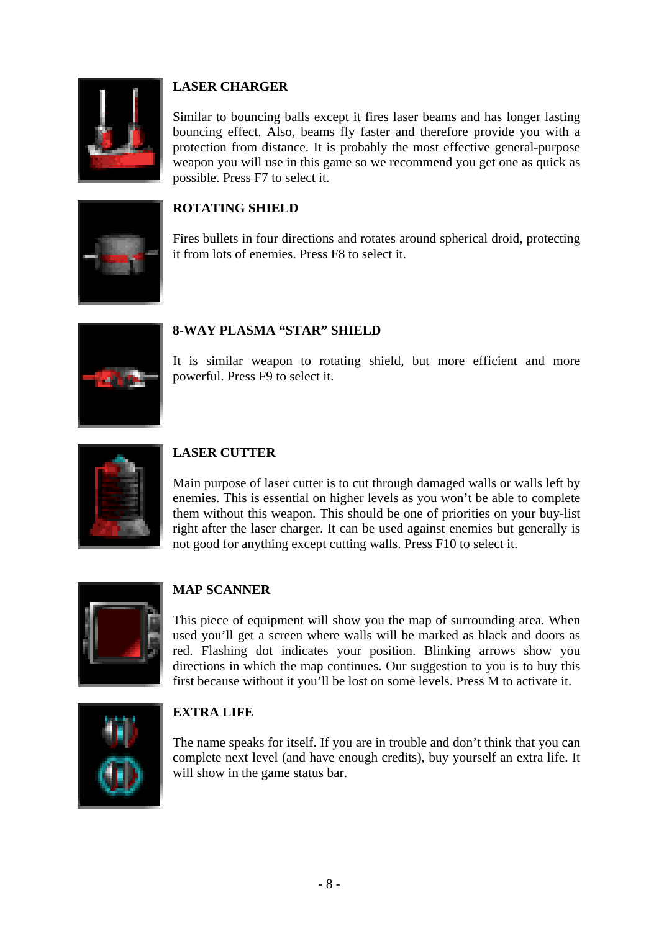

### **LASER CHARGER**

Similar to bouncing balls except it fires laser beams and has longer lasting bouncing effect. Also, beams fly faster and therefore provide you with a protection from distance. It is probably the most effective general-purpose weapon you will use in this game so we recommend you get one as quick as possible. Press F7 to select it.

### **ROTATING SHIELD**

Fires bullets in four directions and rotates around spherical droid, protecting it from lots of enemies. Press F8 to select it.



### **8-WAY PLASMA "STAR" SHIELD**

It is similar weapon to rotating shield, but more efficient and more powerful. Press F9 to select it.



### **LASER CUTTER**

Main purpose of laser cutter is to cut through damaged walls or walls left by enemies. This is essential on higher levels as you won't be able to complete them without this weapon. This should be one of priorities on your buy-list right after the laser charger. It can be used against enemies but generally is not good for anything except cutting walls. Press F10 to select it.



### **MAP SCANNER**

This piece of equipment will show you the map of surrounding area. When used you'll get a screen where walls will be marked as black and doors as red. Flashing dot indicates your position. Blinking arrows show you directions in which the map continues. Our suggestion to you is to buy this first because without it you'll be lost on some levels. Press M to activate it.



### **EXTRA LIFE**

The name speaks for itself. If you are in trouble and don't think that you can complete next level (and have enough credits), buy yourself an extra life. It will show in the game status bar.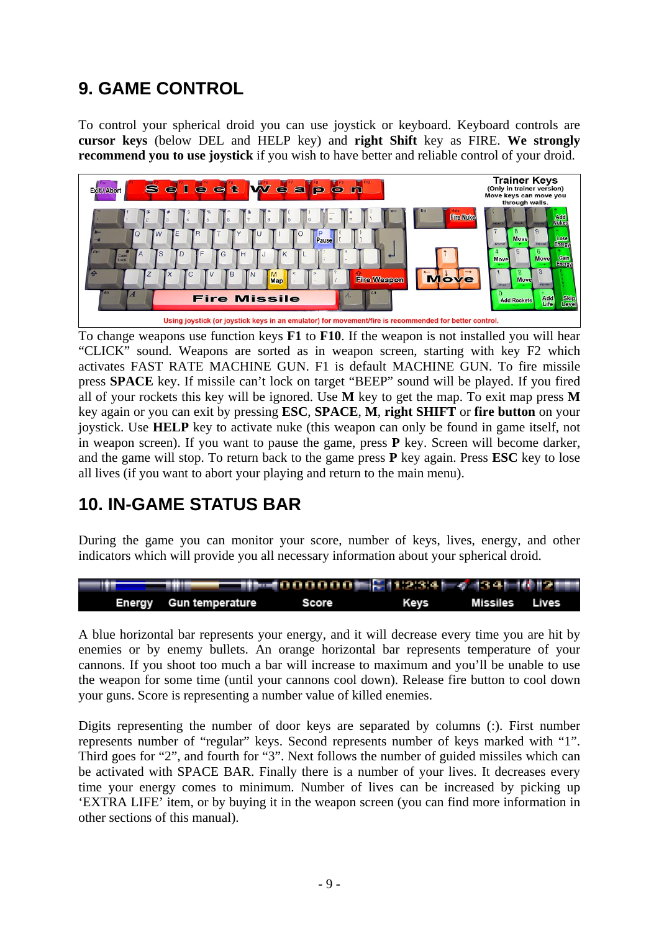## **9. GAME CONTROL**

To control your spherical droid you can use joystick or keyboard. Keyboard controls are **cursor keys** (below DEL and HELP key) and **right Shift** key as FIRE. **We strongly recommend you to use joystick** if you wish to have better and reliable control of your droid.



To change weapons use function keys **F1** to **F10**. If the weapon is not installed you will hear "CLICK" sound. Weapons are sorted as in weapon screen, starting with key F2 which activates FAST RATE MACHINE GUN. F1 is default MACHINE GUN. To fire missile press **SPACE** key. If missile can't lock on target "BEEP" sound will be played. If you fired all of your rockets this key will be ignored. Use **M** key to get the map. To exit map press **M** key again or you can exit by pressing **ESC**, **SPACE**, **M**, **right SHIFT** or **fire button** on your joystick. Use **HELP** key to activate nuke (this weapon can only be found in game itself, not in weapon screen). If you want to pause the game, press **P** key. Screen will become darker, and the game will stop. To return back to the game press **P** key again. Press **ESC** key to lose all lives (if you want to abort your playing and return to the main menu).

## **10. IN-GAME STATUS BAR**

During the game you can monitor your score, number of keys, lives, energy, and other indicators which will provide you all necessary information about your spherical droid.



A blue horizontal bar represents your energy, and it will decrease every time you are hit by enemies or by enemy bullets. An orange horizontal bar represents temperature of your cannons. If you shoot too much a bar will increase to maximum and you'll be unable to use the weapon for some time (until your cannons cool down). Release fire button to cool down your guns. Score is representing a number value of killed enemies.

Digits representing the number of door keys are separated by columns (:). First number represents number of "regular" keys. Second represents number of keys marked with "1". Third goes for "2", and fourth for "3". Next follows the number of guided missiles which can be activated with SPACE BAR. Finally there is a number of your lives. It decreases every time your energy comes to minimum. Number of lives can be increased by picking up 'EXTRA LIFE' item, or by buying it in the weapon screen (you can find more information in other sections of this manual).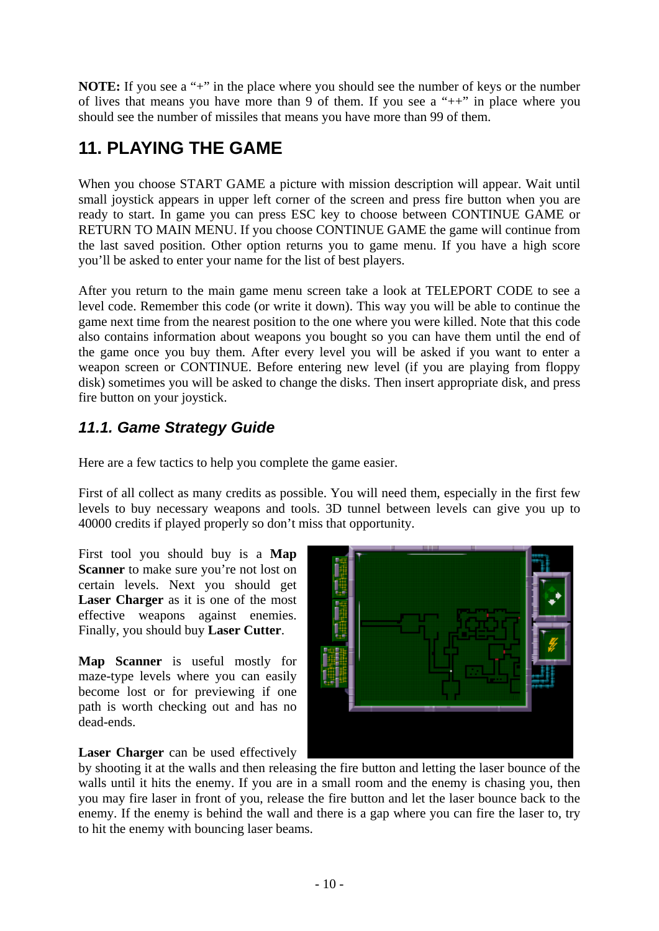**NOTE:** If you see a "+" in the place where you should see the number of keys or the number of lives that means you have more than 9 of them. If you see a "++" in place where you should see the number of missiles that means you have more than 99 of them.

# **11. PLAYING THE GAME**

When you choose START GAME a picture with mission description will appear. Wait until small joystick appears in upper left corner of the screen and press fire button when you are ready to start. In game you can press ESC key to choose between CONTINUE GAME or RETURN TO MAIN MENU. If you choose CONTINUE GAME the game will continue from the last saved position. Other option returns you to game menu. If you have a high score you'll be asked to enter your name for the list of best players.

After you return to the main game menu screen take a look at TELEPORT CODE to see a level code. Remember this code (or write it down). This way you will be able to continue the game next time from the nearest position to the one where you were killed. Note that this code also contains information about weapons you bought so you can have them until the end of the game once you buy them. After every level you will be asked if you want to enter a weapon screen or CONTINUE. Before entering new level (if you are playing from floppy disk) sometimes you will be asked to change the disks. Then insert appropriate disk, and press fire button on your joystick.

## *11.1. Game Strategy Guide*

Here are a few tactics to help you complete the game easier.

First of all collect as many credits as possible. You will need them, especially in the first few levels to buy necessary weapons and tools. 3D tunnel between levels can give you up to 40000 credits if played properly so don't miss that opportunity.

First tool you should buy is a **Map Scanner** to make sure you're not lost on certain levels. Next you should get **Laser Charger** as it is one of the most effective weapons against enemies. Finally, you should buy **Laser Cutter**.

**Map Scanner** is useful mostly for maze-type levels where you can easily become lost or for previewing if one path is worth checking out and has no dead-ends.



**Laser Charger** can be used effectively

by shooting it at the walls and then releasing the fire button and letting the laser bounce of the walls until it hits the enemy. If you are in a small room and the enemy is chasing you, then you may fire laser in front of you, release the fire button and let the laser bounce back to the enemy. If the enemy is behind the wall and there is a gap where you can fire the laser to, try to hit the enemy with bouncing laser beams.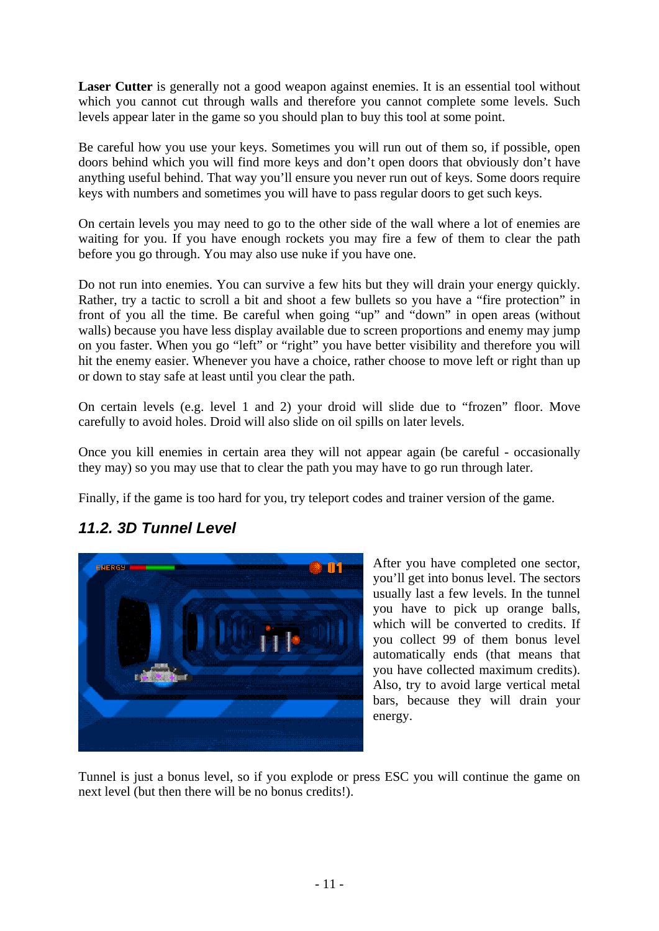Laser Cutter is generally not a good weapon against enemies. It is an essential tool without which you cannot cut through walls and therefore you cannot complete some levels. Such levels appear later in the game so you should plan to buy this tool at some point.

Be careful how you use your keys. Sometimes you will run out of them so, if possible, open doors behind which you will find more keys and don't open doors that obviously don't have anything useful behind. That way you'll ensure you never run out of keys. Some doors require keys with numbers and sometimes you will have to pass regular doors to get such keys.

On certain levels you may need to go to the other side of the wall where a lot of enemies are waiting for you. If you have enough rockets you may fire a few of them to clear the path before you go through. You may also use nuke if you have one.

Do not run into enemies. You can survive a few hits but they will drain your energy quickly. Rather, try a tactic to scroll a bit and shoot a few bullets so you have a "fire protection" in front of you all the time. Be careful when going "up" and "down" in open areas (without walls) because you have less display available due to screen proportions and enemy may jump on you faster. When you go "left" or "right" you have better visibility and therefore you will hit the enemy easier. Whenever you have a choice, rather choose to move left or right than up or down to stay safe at least until you clear the path.

On certain levels (e.g. level 1 and 2) your droid will slide due to "frozen" floor. Move carefully to avoid holes. Droid will also slide on oil spills on later levels.

Once you kill enemies in certain area they will not appear again (be careful - occasionally they may) so you may use that to clear the path you may have to go run through later.

Finally, if the game is too hard for you, try teleport codes and trainer version of the game.

### *11.2. 3D Tunnel Level*



After you have completed one sector, you'll get into bonus level. The sectors usually last a few levels. In the tunnel you have to pick up orange balls, which will be converted to credits. If you collect 99 of them bonus level automatically ends (that means that you have collected maximum credits). Also, try to avoid large vertical metal bars, because they will drain your energy.

Tunnel is just a bonus level, so if you explode or press ESC you will continue the game on next level (but then there will be no bonus credits!).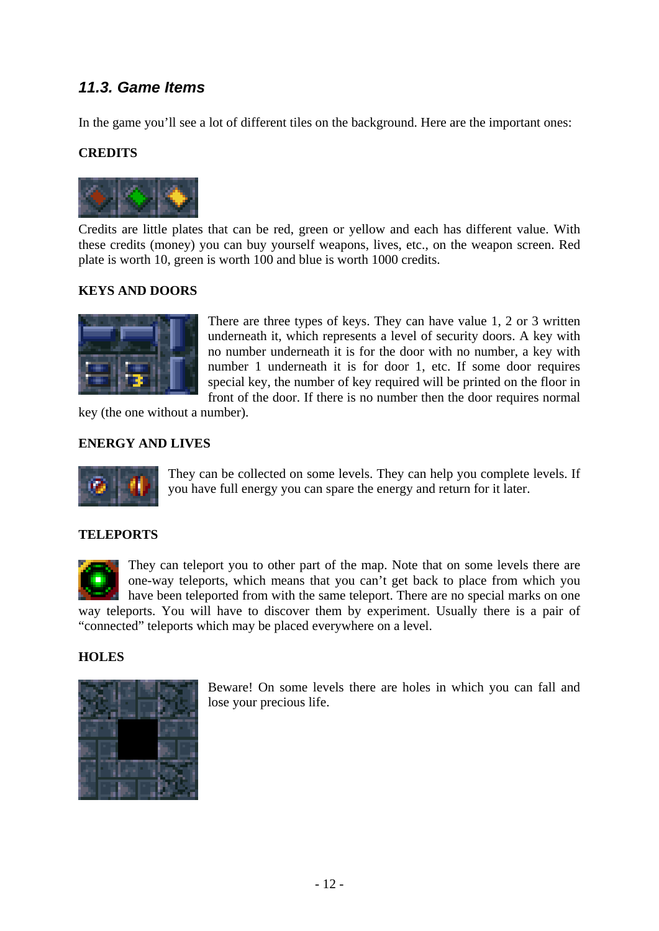## *11.3. Game Items*

In the game you'll see a lot of different tiles on the background. Here are the important ones:

### **CREDITS**



Credits are little plates that can be red, green or yellow and each has different value. With these credits (money) you can buy yourself weapons, lives, etc., on the weapon screen. Red plate is worth 10, green is worth 100 and blue is worth 1000 credits.

### **KEYS AND DOORS**



There are three types of keys. They can have value 1, 2 or 3 written underneath it, which represents a level of security doors. A key with no number underneath it is for the door with no number, a key with number 1 underneath it is for door 1, etc. If some door requires special key, the number of key required will be printed on the floor in front of the door. If there is no number then the door requires normal

key (the one without a number).

#### **ENERGY AND LIVES**



They can be collected on some levels. They can help you complete levels. If you have full energy you can spare the energy and return for it later.

#### **TELEPORTS**

They can teleport you to other part of the map. Note that on some levels there are one-way teleports, which means that you can't get back to place from which you have been teleported from with the same teleport. There are no special marks on one way teleports. You will have to discover them by experiment. Usually there is a pair of "connected" teleports which may be placed everywhere on a level.

#### **HOLES**



Beware! On some levels there are holes in which you can fall and lose your precious life.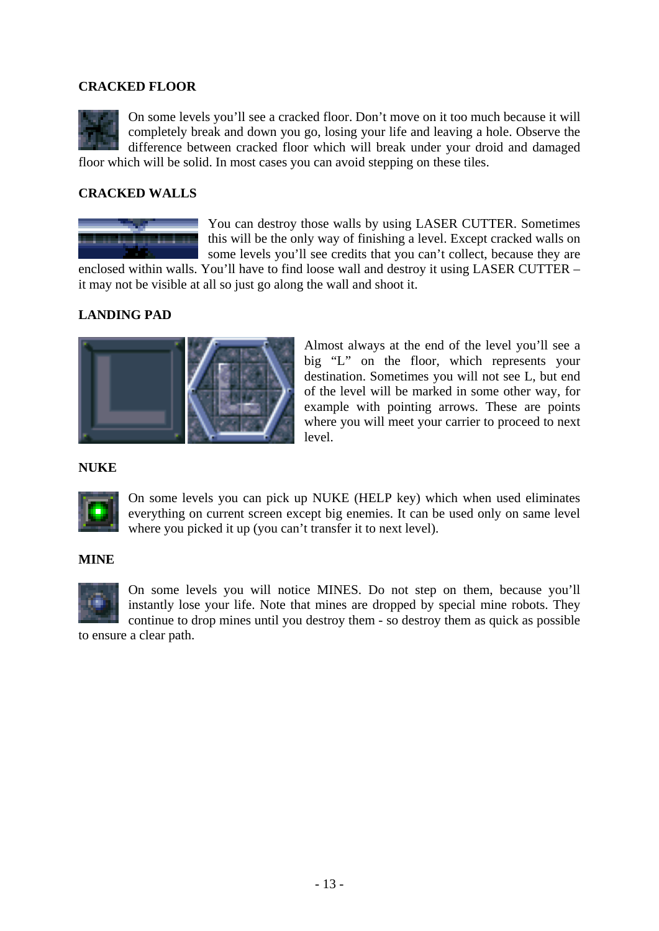### **CRACKED FLOOR**

On some levels you'll see a cracked floor. Don't move on it too much because it will completely break and down you go, losing your life and leaving a hole. Observe the difference between cracked floor which will break under your droid and damaged floor which will be solid. In most cases you can avoid stepping on these tiles.

#### **CRACKED WALLS**



You can destroy those walls by using LASER CUTTER. Sometimes this will be the only way of finishing a level. Except cracked walls on some levels you'll see credits that you can't collect, because they are

enclosed within walls. You'll have to find loose wall and destroy it using LASER CUTTER – it may not be visible at all so just go along the wall and shoot it.

#### **LANDING PAD**



Almost always at the end of the level you'll see a big "L" on the floor, which represents your destination. Sometimes you will not see L, but end of the level will be marked in some other way, for example with pointing arrows. These are points where you will meet your carrier to proceed to next level.

#### **NUKE**



On some levels you can pick up NUKE (HELP key) which when used eliminates everything on current screen except big enemies. It can be used only on same level where you picked it up (you can't transfer it to next level).

#### **MINE**



On some levels you will notice MINES. Do not step on them, because you'll instantly lose your life. Note that mines are dropped by special mine robots. They continue to drop mines until you destroy them - so destroy them as quick as possible

to ensure a clear path.